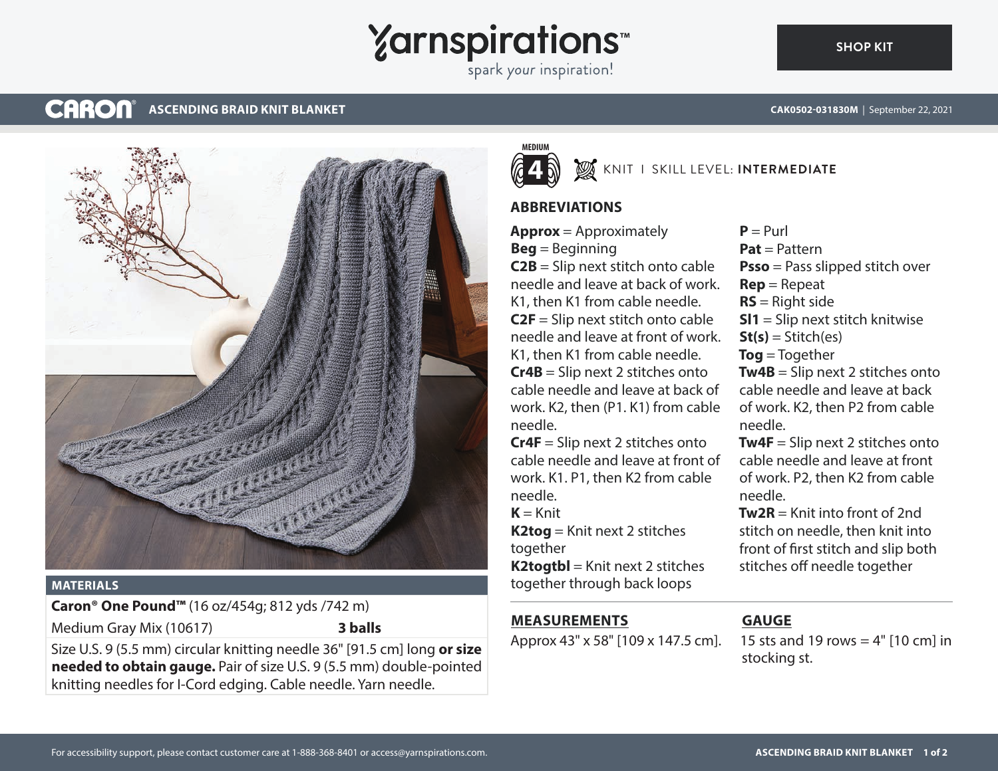# **Yarnspirations**

spark your inspiration!

#### **CARON® ASCENDING BRAID KNIT BLANKET**



#### **MATERIALS**

**Caron® One Pound™** (16 oz/454g; 812 yds /742 m) Medium Gray Mix (10617) **3 balls**

Size U.S. 9 (5.5 mm) circular knitting needle 36" [91.5 cm] long **or size needed to obtain gauge.** Pair of size U.S. 9 (5.5 mm) double-pointed knitting needles for I-Cord edging. Cable needle. Yarn needle.



## KNIT I SKILL LEVEL: **INTERMEDIATE**

### **ABBREVIATIONS**

**Approx** = Approximately **Beg** = Beginning **C2B** = Slip next stitch onto cable needle and leave at back of work. K1, then K1 from cable needle. **C2F** = Slip next stitch onto cable needle and leave at front of work. K1, then K1 from cable needle. **Cr4B** = Slip next 2 stitches onto cable needle and leave at back of work. K2, then (P1. K1) from cable needle.

**Cr4F** = Slip next 2 stitches onto cable needle and leave at front of work. K1. P1, then K2 from cable needle.

 $K = Knit$ 

**K2tog** = Knit next 2 stitches together

**K2togtbl** = Knit next 2 stitches together through back loops

### **MEASUREMENTS**

Approx 43" x 58" [109 x 147.5 cm].

#### $P = Purl$ **Pat** = Pattern **Psso** = Pass slipped stitch over **Rep** = Repeat **RS** = Right side **Sl1** = Slip next stitch knitwise  $St(s) = Stitch(es)$ **Tog** = Together **Tw4B** = Slip next 2 stitches onto cable needle and leave at back of work. K2, then P2 from cable needle. **Tw4F** = Slip next 2 stitches onto cable needle and leave at front of work. P2, then K2 from cable

needle.  $Tw2R =$  Knit into front of 2nd stitch on needle, then knit into front of first stitch and slip both stitches off needle together

## **GAUGE**

15 sts and 19 rows  $= 4"$  [10 cm] in stocking st.